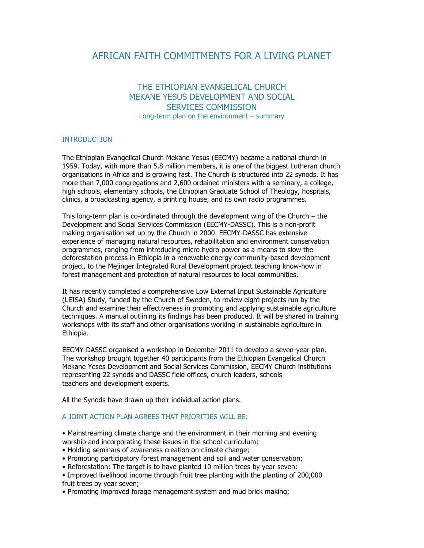# AFRICAN FAITH COMMITMENTS FOR A LIVING PLANET

## THE ETHIOPIAN EVANGELICAL CHURCH MEKANE YESUS DEVELOPMENT AND SOCIAL SERVICES COMMISSION Long-term plan on the environment – summary

### INTRODUCTION

The Ethiopian Evangelical Church Mekane Yesus (EECMY) became a national church in 1959. Today, with more than 5.8 million members, it is one of the biggest Lutheran church organisations in Africa and is growing fast. The Church is structured into 22 synods. It has more than 7,000 congregations and 2,600 ordained ministers with a seminary, a college, high schools, elementary schools, the Ethiopian Graduate School of Theology, hospitals, clinics, a broadcasting agency, a printing house, and its own radio programmes.

This long-term plan is co-ordinated through the development wing of the Church – the Development and Social Services Commission (EECMY-DASSC). This is a non-profit making organisation set up by the Church in 2000. EECMY-DASSC has extensive experience of managing natural resources, rehabilitation and environment conservation programmes, ranging from introducing micro hydro power as a means to slow the deforestation process in Ethiopia in a renewable energy community-based development project, to the Mejinger Integrated Rural Development project teaching know-how in forest management and protection of natural resources to local communities.

It has recently completed a comprehensive Low External Input Sustainable Agriculture (LEISA) Study, funded by the Church of Sweden, to review eight projects run by the Church and examine their effectiveness in promoting and applying sustainable agriculture techniques. A manual outlining its findings has been produced. It will be shared in training workshops with its staff and other organisations working in sustainable agriculture in Ethiopia.

EECMY-DASSC organised a workshop in December 2011 to develop a seven-year plan. The workshop brought together 40 participants from the Ethiopian Evangelical Church Mekane Yeses Development and Social Services Commission, EECMY Church institutions representing 22 synods and DASSC field offices, church leaders, schools teachers and development experts.

All the Synods have drawn up their individual action plans.

#### A JOINT ACTION PLAN AGREES THAT PRIORITIES WILL BE:

- Mainstreaming climate change and the environment in their morning and evening worship and incorporating these issues in the school curriculum;
- Holding seminars of awareness creation on climate change;
- Promoting participatory forest management and soil and water conservation;
- Reforestation: The target is to have planted 10 million trees by year seven;
- Improved livelihood income through fruit tree planting with the planting of 200,000 fruit trees by year seven;
- Promoting improved forage management system and mud brick making;